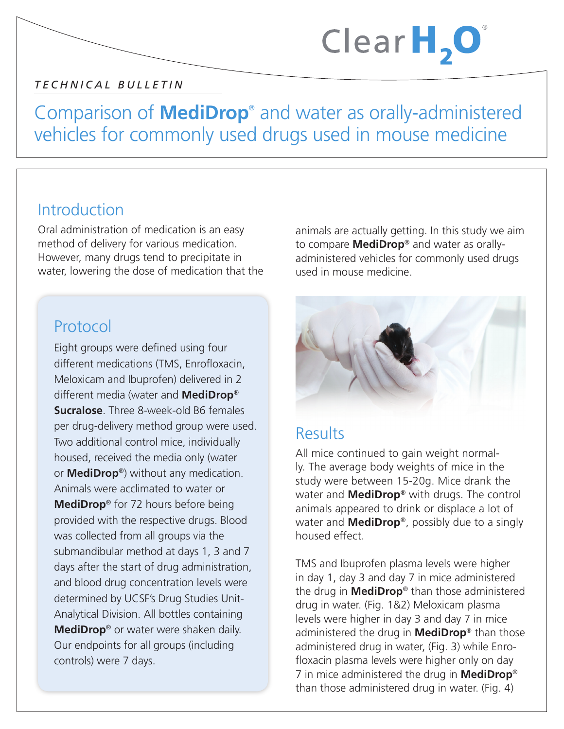#### *TECHNICAL BULLETIN*

## Comparison of **MediDrop**® and water as orally-administered vehicles for commonly used drugs used in mouse medicine

#### Introduction

Oral administration of medication is an easy method of delivery for various medication. However, many drugs tend to precipitate in water, lowering the dose of medication that the

### Protocol

Eight groups were defined using four different medications (TMS, Enrofloxacin, Meloxicam and Ibuprofen) delivered in 2 different media (water and **MediDrop**® **Sucralose**. Three 8-week-old B6 females per drug-delivery method group were used. Two additional control mice, individually housed, received the media only (water or **MediDrop**®) without any medication. Animals were acclimated to water or **MediDrop**® for 72 hours before being provided with the respective drugs. Blood was collected from all groups via the submandibular method at days 1, 3 and 7 days after the start of drug administration, and blood drug concentration levels were determined by UCSF's Drug Studies Unit-Analytical Division. All bottles containing **MediDrop**® or water were shaken daily. Our endpoints for all groups (including controls) were 7 days.

animals are actually getting. In this study we aim to compare **MediDrop**® and water as orallyadministered vehicles for commonly used drugs used in mouse medicine.

Clear $H, O$ 



### **Results**

All mice continued to gain weight normally. The average body weights of mice in the study were between 15-20g. Mice drank the water and **MediDrop**® with drugs. The control animals appeared to drink or displace a lot of water and **MediDrop**®, possibly due to a singly housed effect.

TMS and Ibuprofen plasma levels were higher in day 1, day 3 and day 7 in mice administered the drug in **MediDrop**® than those administered drug in water. (Fig. 1&2) Meloxicam plasma levels were higher in day 3 and day 7 in mice administered the drug in **MediDrop**® than those administered drug in water, (Fig. 3) while Enrofloxacin plasma levels were higher only on day 7 in mice administered the drug in **MediDrop**® than those administered drug in water. (Fig. 4)